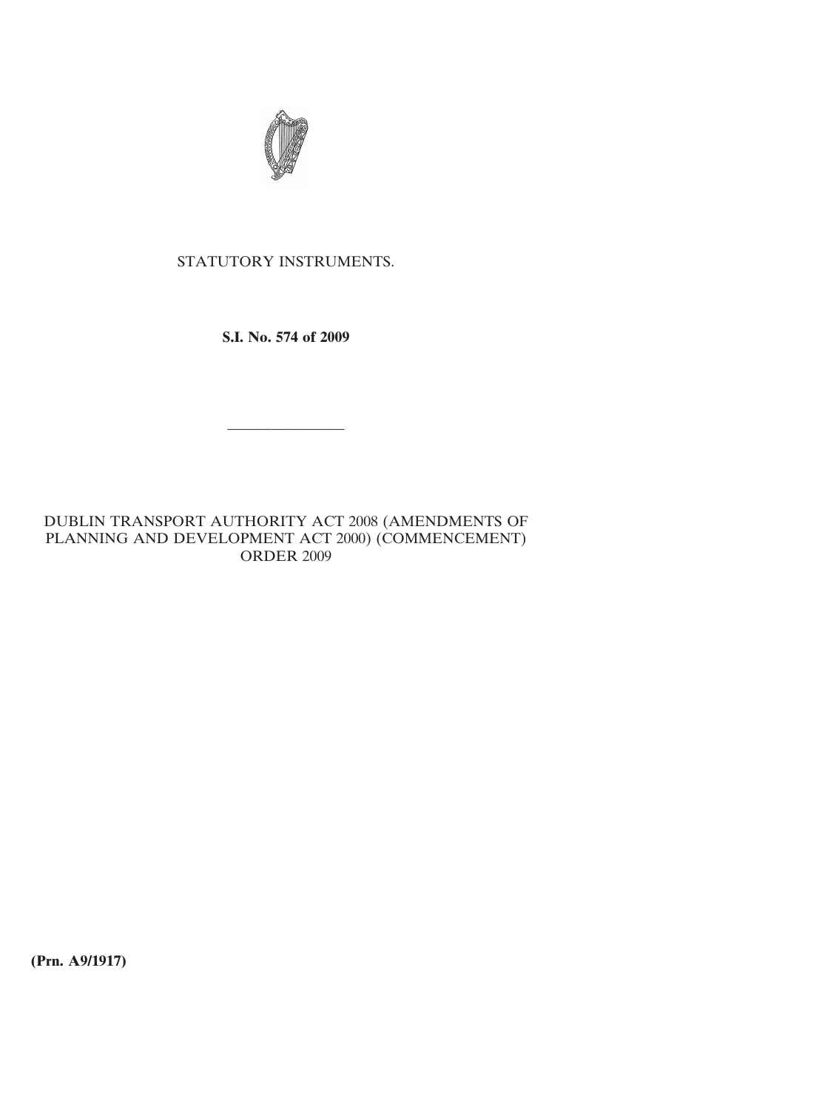

## STATUTORY INSTRUMENTS.

**S.I. No. 574 of 2009**

————————

DUBLIN TRANSPORT AUTHORITY ACT 2008 (AMENDMENTS OF PLANNING AND DEVELOPMENT ACT 2000) (COMMENCEMENT) ORDER 2009

**(Prn. A9/1917)**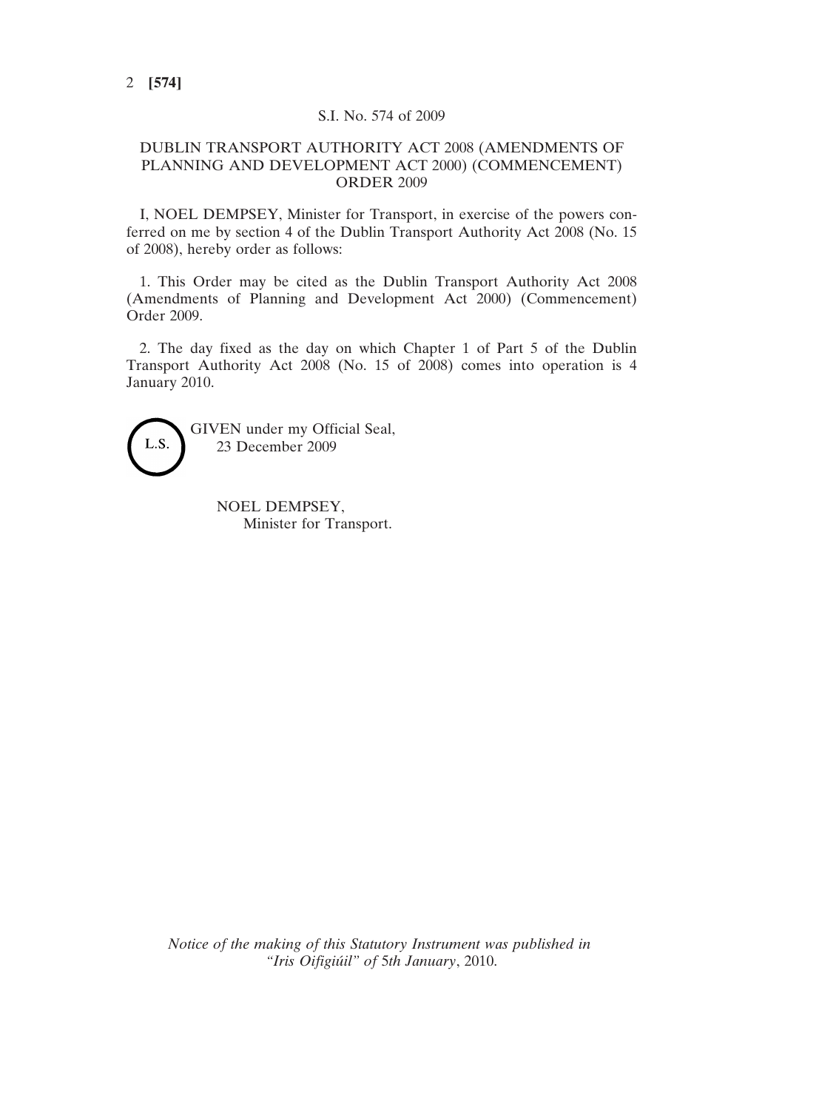## S.I. No. 574 of 2009

## DUBLIN TRANSPORT AUTHORITY ACT 2008 (AMENDMENTS OF PLANNING AND DEVELOPMENT ACT 2000) (COMMENCEMENT) ORDER 2009

I, NOEL DEMPSEY, Minister for Transport, in exercise of the powers conferred on me by section 4 of the Dublin Transport Authority Act 2008 (No. 15 of 2008), hereby order as follows:

1. This Order may be cited as the Dublin Transport Authority Act 2008 (Amendments of Planning and Development Act 2000) (Commencement) Order 2009.

2. The day fixed as the day on which Chapter 1 of Part 5 of the Dublin Transport Authority Act 2008 (No. 15 of 2008) comes into operation is 4 January 2010.



GIVEN under my Official Seal, 23 December 2009

> NOEL DEMPSEY, Minister for Transport.

*Notice of the making of this Statutory Instrument was published in "Iris Oifigiúil" of* 5*th January*, 2010.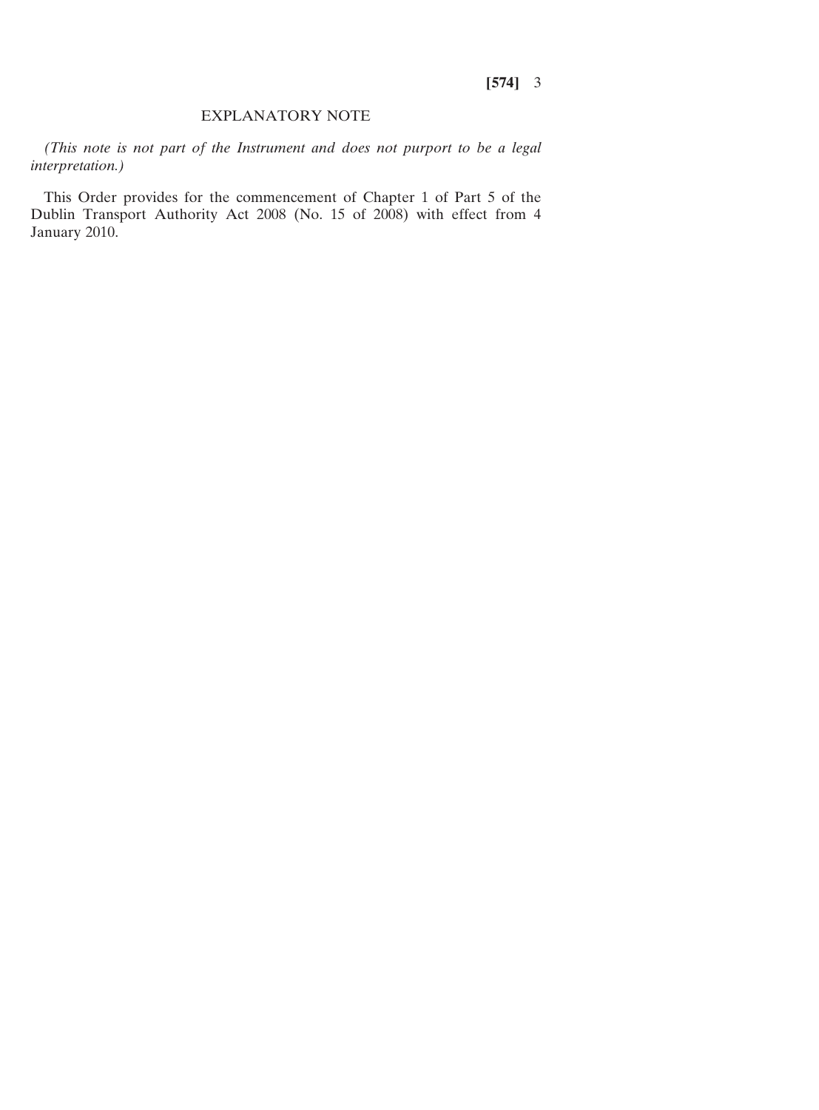## EXPLANATORY NOTE

*(This note is not part of the Instrument and does not purport to be a legal interpretation.)*

This Order provides for the commencement of Chapter 1 of Part 5 of the Dublin Transport Authority Act 2008 (No. 15 of 2008) with effect from 4 January 2010.